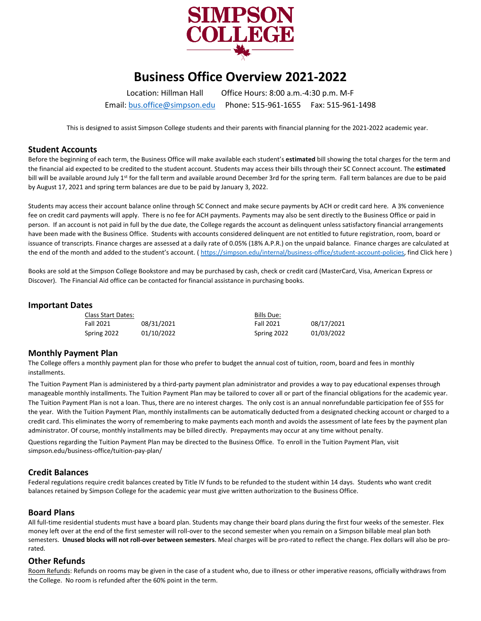

# **Business Office Overview 2021-2022**

Location: Hillman Hall Office Hours: 8:00 a.m.-4:30 p.m. M-F Email[: bus.office@simpson.edu](mailto:bus.office@simpson.edu) Phone: 515-961-1655 Fax: 515-961-1498

This is designed to assist Simpson College students and their parents with financial planning for the 2021-2022 academic year.

### **Student Accounts**

Before the beginning of each term, the Business Office will make available each student's **estimated** bill showing the total charges for the term and the financial aid expected to be credited to the student account. Students may access their bills through their SC Connect account. The **estimated** bill will be available around July 1<sup>st</sup> for the fall term and available around December 3rd for the spring term. Fall term balances are due to be paid by August 17, 2021 and spring term balances are due to be paid by January 3, 2022.

Students may access their account balance online through SC Connect and make secure payments by ACH or credit card here. A 3% convenience fee on credit card payments will apply. There is no fee for ACH payments. Payments may also be sent directly to the Business Office or paid in person. If an account is not paid in full by the due date, the College regards the account as delinquent unless satisfactory financial arrangements have been made with the Business Office. Students with accounts considered delinquent are not entitled to future registration, room, board or issuance of transcripts. Finance charges are assessed at a daily rate of 0.05% (18% A.P.R.) on the unpaid balance. Finance charges are calculated at the end of the month and added to the student's account. [\( https://simpson.edu/internal/business-office/student-account-policies,](https://simpson.edu/internal/business-office/student-account-policies) find Click here )

Books are sold at the Simpson College Bookstore and may be purchased by cash, check or credit card (MasterCard, Visa, American Express or Discover). The Financial Aid office can be contacted for financial assistance in purchasing books.

#### **Important Dates**

| Class Start Dates: |            | Bills Due:       |            |
|--------------------|------------|------------------|------------|
| <b>Fall 2021</b>   | 08/31/2021 | <b>Fall 2021</b> | 08/17/2021 |
| Spring 2022        | 01/10/2022 | Spring 2022      | 01/03/2022 |

#### **Monthly Payment Plan**

The College offers a monthly payment plan for those who prefer to budget the annual cost of tuition, room, board and fees in monthly installments.

The Tuition Payment Plan is administered by a third-party payment plan administrator and provides a way to pay educational expenses through manageable monthly installments. The Tuition Payment Plan may be tailored to cover all or part of the financial obligations for the academic year. The Tuition Payment Plan is not a loan. Thus, there are no interest charges. The only cost is an annual nonrefundable participation fee of \$55 for the year. With the Tuition Payment Plan, monthly installments can be automatically deducted from a designated checking account or charged to a credit card. This eliminates the worry of remembering to make payments each month and avoids the assessment of late fees by the payment plan administrator. Of course, monthly installments may be billed directly. Prepayments may occur at any time without penalty.

Questions regarding the Tuition Payment Plan may be directed to the Business Office. To enroll in the Tuition Payment Plan, visit simpson.edu/business-office/tuition-pay-plan/

#### **Credit Balances**

Federal regulations require credit balances created by Title IV funds to be refunded to the student within 14 days. Students who want credit balances retained by Simpson College for the academic year must give written authorization to the Business Office.

#### **Board Plans**

All full-time residential students must have a board plan. Students may change their board plans during the first four weeks of the semester. Flex money left over at the end of the first semester will roll-over to the second semester when you remain on a Simpson billable meal plan both semesters. **Unused blocks will not roll-over between semesters**. Meal charges will be pro-rated to reflect the change. Flex dollars will also be prorated.

#### **Other Refunds**

Room Refunds: Refunds on rooms may be given in the case of a student who, due to illness or other imperative reasons, officially withdraws from the College. No room is refunded after the 60% point in the term.